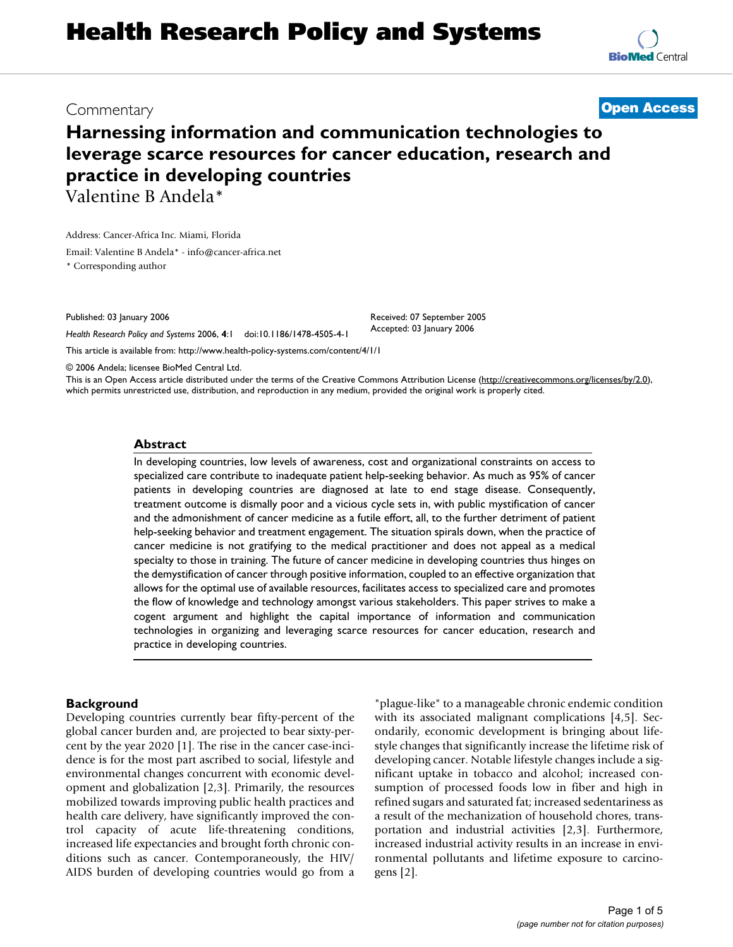# **Health Research Policy and Systems**

## **Harnessing information and communication technologies to leverage scarce resources for cancer education, research and practice in developing countries** Valentine B Andela\*

Address: Cancer-Africa Inc. Miami, Florida

Email: Valentine B Andela\* - info@cancer-africa.net

\* Corresponding author

Published: 03 January 2006

*Health Research Policy and Systems* 2006, **4**:1 doi:10.1186/1478-4505-4-1

[This article is available from: http://www.health-policy-systems.com/content/4/1/1](http://www.health-policy-systems.com/content/4/1/1)

© 2006 Andela; licensee BioMed Central Ltd.

This is an Open Access article distributed under the terms of the Creative Commons Attribution License [\(http://creativecommons.org/licenses/by/2.0\)](http://creativecommons.org/licenses/by/2.0), which permits unrestricted use, distribution, and reproduction in any medium, provided the original work is properly cited.

Received: 07 September 2005 Accepted: 03 January 2006

#### **Abstract**

In developing countries, low levels of awareness, cost and organizational constraints on access to specialized care contribute to inadequate patient help-seeking behavior. As much as 95% of cancer patients in developing countries are diagnosed at late to end stage disease. Consequently, treatment outcome is dismally poor and a vicious cycle sets in, with public mystification of cancer and the admonishment of cancer medicine as a futile effort, all, to the further detriment of patient help-seeking behavior and treatment engagement. The situation spirals down, when the practice of cancer medicine is not gratifying to the medical practitioner and does not appeal as a medical specialty to those in training. The future of cancer medicine in developing countries thus hinges on the demystification of cancer through positive information, coupled to an effective organization that allows for the optimal use of available resources, facilitates access to specialized care and promotes the flow of knowledge and technology amongst various stakeholders. This paper strives to make a cogent argument and highlight the capital importance of information and communication technologies in organizing and leveraging scarce resources for cancer education, research and practice in developing countries.

#### **Background**

Developing countries currently bear fifty-percent of the global cancer burden and, are projected to bear sixty-percent by the year 2020 [1]. The rise in the cancer case-incidence is for the most part ascribed to social, lifestyle and environmental changes concurrent with economic development and globalization [2,3]. Primarily, the resources mobilized towards improving public health practices and health care delivery, have significantly improved the control capacity of acute life-threatening conditions, increased life expectancies and brought forth chronic conditions such as cancer. Contemporaneously, the HIV/ AIDS burden of developing countries would go from a

"plague-like" to a manageable chronic endemic condition with its associated malignant complications [4,5]. Secondarily, economic development is bringing about lifestyle changes that significantly increase the lifetime risk of developing cancer. Notable lifestyle changes include a significant uptake in tobacco and alcohol; increased consumption of processed foods low in fiber and high in refined sugars and saturated fat; increased sedentariness as a result of the mechanization of household chores, transportation and industrial activities [2,3]. Furthermore, increased industrial activity results in an increase in environmental pollutants and lifetime exposure to carcinogens [2].



### Commentary **[Open Access](http://www.biomedcentral.com/info/about/charter/)**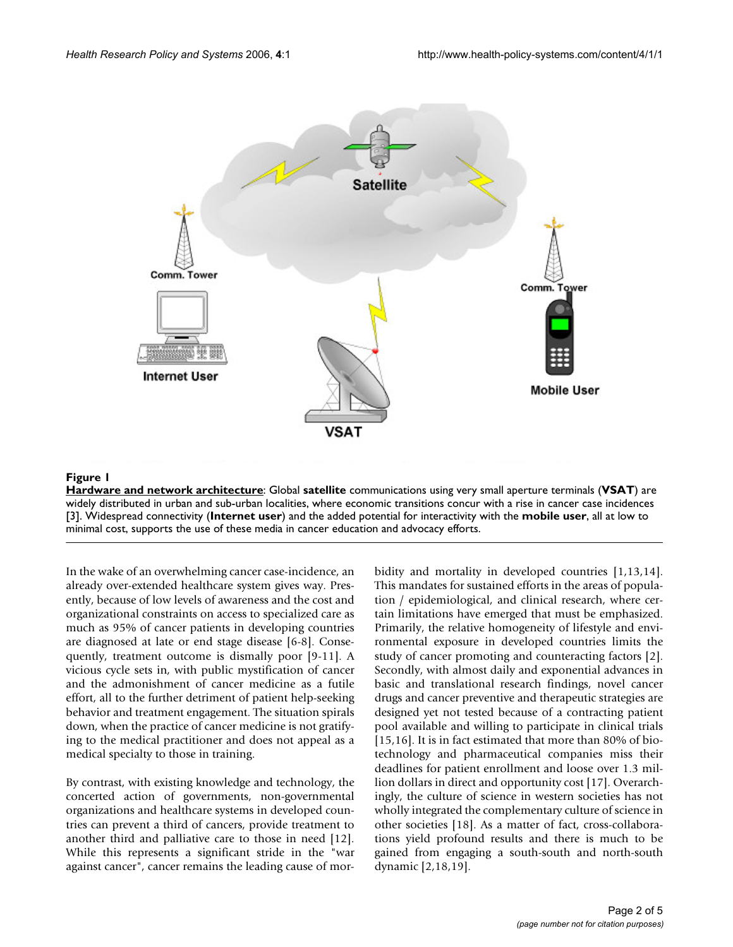

#### **Figure 1**

**Hardware and network architecture**: Global **satellite** communications using very small aperture terminals (**VSAT**) are widely distributed in urban and sub-urban localities, where economic transitions concur with a rise in cancer case incidences [3]. Widespread connectivity (**Internet user**) and the added potential for interactivity with the **mobile user**, all at low to minimal cost, supports the use of these media in cancer education and advocacy efforts.

In the wake of an overwhelming cancer case-incidence, an already over-extended healthcare system gives way. Presently, because of low levels of awareness and the cost and organizational constraints on access to specialized care as much as 95% of cancer patients in developing countries are diagnosed at late or end stage disease [6-8]. Consequently, treatment outcome is dismally poor [9-11]. A vicious cycle sets in, with public mystification of cancer and the admonishment of cancer medicine as a futile effort, all to the further detriment of patient help-seeking behavior and treatment engagement. The situation spirals down, when the practice of cancer medicine is not gratifying to the medical practitioner and does not appeal as a medical specialty to those in training.

By contrast, with existing knowledge and technology, the concerted action of governments, non-governmental organizations and healthcare systems in developed countries can prevent a third of cancers, provide treatment to another third and palliative care to those in need [12]. While this represents a significant stride in the "war against cancer", cancer remains the leading cause of morbidity and mortality in developed countries [1,13,14]. This mandates for sustained efforts in the areas of population / epidemiological, and clinical research, where certain limitations have emerged that must be emphasized. Primarily, the relative homogeneity of lifestyle and environmental exposure in developed countries limits the study of cancer promoting and counteracting factors [2]. Secondly, with almost daily and exponential advances in basic and translational research findings, novel cancer drugs and cancer preventive and therapeutic strategies are designed yet not tested because of a contracting patient pool available and willing to participate in clinical trials [15,16]. It is in fact estimated that more than 80% of biotechnology and pharmaceutical companies miss their deadlines for patient enrollment and loose over 1.3 million dollars in direct and opportunity cost [17]. Overarchingly, the culture of science in western societies has not wholly integrated the complementary culture of science in other societies [18]. As a matter of fact, cross-collaborations yield profound results and there is much to be gained from engaging a south-south and north-south dynamic [2,18,19].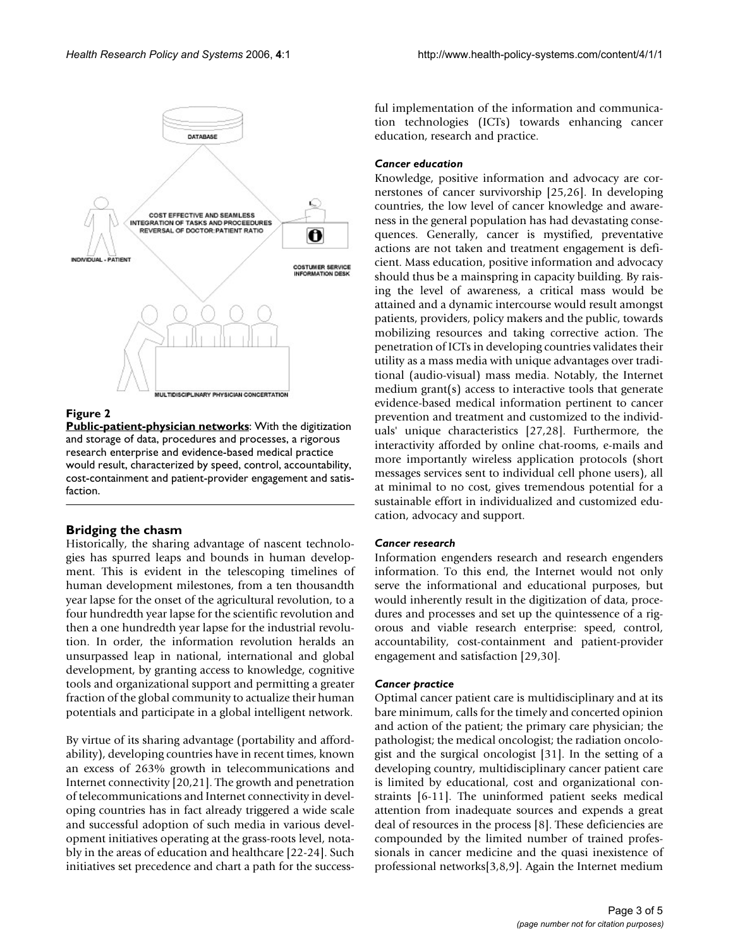

#### **Figure 2**

**Public-patient-physician networks**: With the digitization and storage of data, procedures and processes, a rigorous research enterprise and evidence-based medical practice would result, characterized by speed, control, accountability, cost-containment and patient-provider engagement and satisfaction.

#### **Bridging the chasm**

Historically, the sharing advantage of nascent technologies has spurred leaps and bounds in human development. This is evident in the telescoping timelines of human development milestones, from a ten thousandth year lapse for the onset of the agricultural revolution, to a four hundredth year lapse for the scientific revolution and then a one hundredth year lapse for the industrial revolution. In order, the information revolution heralds an unsurpassed leap in national, international and global development, by granting access to knowledge, cognitive tools and organizational support and permitting a greater fraction of the global community to actualize their human potentials and participate in a global intelligent network.

By virtue of its sharing advantage (portability and affordability), developing countries have in recent times, known an excess of 263% growth in telecommunications and Internet connectivity [20,21]. The growth and penetration of telecommunications and Internet connectivity in developing countries has in fact already triggered a wide scale and successful adoption of such media in various development initiatives operating at the grass-roots level, notably in the areas of education and healthcare [22-24]. Such initiatives set precedence and chart a path for the successful implementation of the information and communication technologies (ICTs) towards enhancing cancer education, research and practice.

#### *Cancer education*

Knowledge, positive information and advocacy are cornerstones of cancer survivorship [25,26]. In developing countries, the low level of cancer knowledge and awareness in the general population has had devastating consequences. Generally, cancer is mystified, preventative actions are not taken and treatment engagement is deficient. Mass education, positive information and advocacy should thus be a mainspring in capacity building. By raising the level of awareness, a critical mass would be attained and a dynamic intercourse would result amongst patients, providers, policy makers and the public, towards mobilizing resources and taking corrective action. The penetration of ICTs in developing countries validates their utility as a mass media with unique advantages over traditional (audio-visual) mass media. Notably, the Internet medium grant(s) access to interactive tools that generate evidence-based medical information pertinent to cancer prevention and treatment and customized to the individuals' unique characteristics [27,28]. Furthermore, the interactivity afforded by online chat-rooms, e-mails and more importantly wireless application protocols (short messages services sent to individual cell phone users), all at minimal to no cost, gives tremendous potential for a sustainable effort in individualized and customized education, advocacy and support.

#### *Cancer research*

Information engenders research and research engenders information. To this end, the Internet would not only serve the informational and educational purposes, but would inherently result in the digitization of data, procedures and processes and set up the quintessence of a rigorous and viable research enterprise: speed, control, accountability, cost-containment and patient-provider engagement and satisfaction [29,30].

#### *Cancer practice*

Optimal cancer patient care is multidisciplinary and at its bare minimum, calls for the timely and concerted opinion and action of the patient; the primary care physician; the pathologist; the medical oncologist; the radiation oncologist and the surgical oncologist [31]. In the setting of a developing country, multidisciplinary cancer patient care is limited by educational, cost and organizational constraints [6-11]. The uninformed patient seeks medical attention from inadequate sources and expends a great deal of resources in the process [8]. These deficiencies are compounded by the limited number of trained professionals in cancer medicine and the quasi inexistence of professional networks[3,8,9]. Again the Internet medium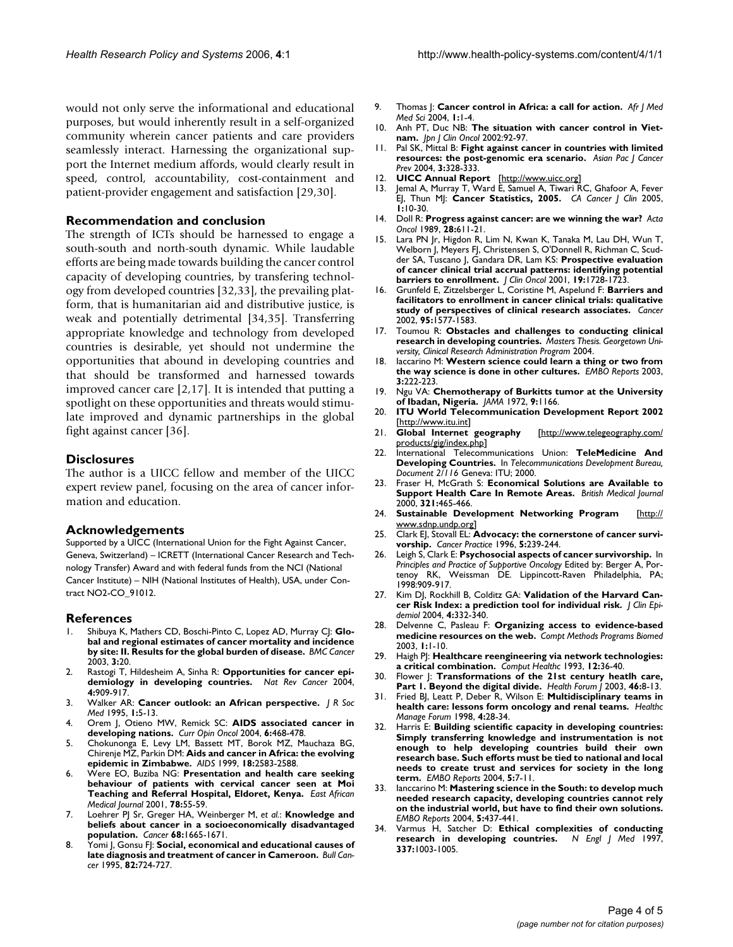would not only serve the informational and educational purposes, but would inherently result in a self-organized community wherein cancer patients and care providers seamlessly interact. Harnessing the organizational support the Internet medium affords, would clearly result in speed, control, accountability, cost-containment and patient-provider engagement and satisfaction [29,30].

#### **Recommendation and conclusion**

The strength of ICTs should be harnessed to engage a south-south and north-south dynamic. While laudable efforts are being made towards building the cancer control capacity of developing countries, by transfering technology from developed countries [32,33], the prevailing platform, that is humanitarian aid and distributive justice, is weak and potentially detrimental [34,35]. Transferring appropriate knowledge and technology from developed countries is desirable, yet should not undermine the opportunities that abound in developing countries and that should be transformed and harnessed towards improved cancer care [2,17]. It is intended that putting a spotlight on these opportunities and threats would stimulate improved and dynamic partnerships in the global fight against cancer [36].

#### **Disclosures**

The author is a UICC fellow and member of the UICC expert review panel, focusing on the area of cancer information and education.

#### **Acknowledgements**

Supported by a UICC (International Union for the Fight Against Cancer, Geneva, Switzerland) – ICRETT (International Cancer Research and Technology Transfer) Award and with federal funds from the NCI (National Cancer Institute) – NIH (National Institutes of Health), USA, under Contract NO2-CO\_91012.

#### **References**

- 1. Shibuya K, Mathers CD, Boschi-Pinto C, Lopez AD, Murray C|: Glo**bal and regional estimates of cancer mortality and incidence by site: II. Results for the global burden of disease.** *BMC Cancer* 2003, **3:**20.
- Rastogi T, Hildesheim A, Sinha R: [Opportunities for cancer epi](http://www.ncbi.nlm.nih.gov/entrez/query.fcgi?cmd=Retrieve&db=PubMed&dopt=Abstract&list_uids=15516963)**[demiology in developing countries.](http://www.ncbi.nlm.nih.gov/entrez/query.fcgi?cmd=Retrieve&db=PubMed&dopt=Abstract&list_uids=15516963)** *Nat Rev Cancer* 2004, **4:**909-917.
- 3. Walker AR: **Cancer outlook: an African perspective.** *J R Soc Med* 1995, **1:**5-13.
- 4. Orem J, Otieno MW, Remick SC: **AIDS associated cancer in developing nations.** *Curr Opin Oncol* 2004, **6:**468-478.
- 5. Chokunonga E, Levy LM, Bassett MT, Borok MZ, Mauchaza BG, Chirenje MZ, Parkin DM: **Aids and cancer in Africa: the evolving epidemic in Zimbabwe.** *AIDS* 1999, **18:**2583-2588.
- 6. Were EO, Buziba NG: **[Presentation and health care seeking](http://www.ncbi.nlm.nih.gov/entrez/query.fcgi?cmd=Retrieve&db=PubMed&dopt=Abstract&list_uids=11682945) [behaviour of patients with cervical cancer seen at Moi](http://www.ncbi.nlm.nih.gov/entrez/query.fcgi?cmd=Retrieve&db=PubMed&dopt=Abstract&list_uids=11682945) [Teaching and Referral Hospital, Eldoret, Kenya.](http://www.ncbi.nlm.nih.gov/entrez/query.fcgi?cmd=Retrieve&db=PubMed&dopt=Abstract&list_uids=11682945)** *East African Medical Journal* 2001, **78:**55-59.
- 7. Loehrer PJ Sr, Greger HA, Weinberger M, *et al.*: **[Knowledge and](http://www.ncbi.nlm.nih.gov/entrez/query.fcgi?cmd=Retrieve&db=PubMed&dopt=Abstract&list_uids=1893368) [beliefs about cancer in a socioeconomically disadvantaged](http://www.ncbi.nlm.nih.gov/entrez/query.fcgi?cmd=Retrieve&db=PubMed&dopt=Abstract&list_uids=1893368) [population.](http://www.ncbi.nlm.nih.gov/entrez/query.fcgi?cmd=Retrieve&db=PubMed&dopt=Abstract&list_uids=1893368)** *Cancer* **68:**1665-1671.
- 8. Yomi J, Gonsu FJ: [Social, economical and educational causes of](http://www.ncbi.nlm.nih.gov/entrez/query.fcgi?cmd=Retrieve&db=PubMed&dopt=Abstract&list_uids=8535031) **[late diagnosis and treatment of cancer in Cameroon.](http://www.ncbi.nlm.nih.gov/entrez/query.fcgi?cmd=Retrieve&db=PubMed&dopt=Abstract&list_uids=8535031)** *Bull Cancer* 1995, **82:**724-727.
- 9. Thomas |: **Cancer control in Africa: a call for action.** Afr | Med *Med Sci* 2004, **1:**1-4.
- 10. Anh PT, Duc NB: **The situation with cancer control in Vietnam.** *Jpn J Clin Oncol* 2002:92-97.
- 11. Pal SK, Mittal B: **Fight against cancer in countries with limited resources: the post-genomic era scenario.** *Asian Pac J Cancer Prev* 2004, **3:**328-333.
- 12. **UICC Annual Report** [\[http://www.uicc.org](http://www.uicc.org)]
- Jemal A, Murray T, Ward E, Samuel A, Tiwari RC, Ghafoor A, Fever EJ, Thun MJ: **Cancer Statistics, 2005.** *CA Cancer J Clin* 2005, **1:**10-30.
- 14. Doll R: **[Progress against cancer: are we winning the war?](http://www.ncbi.nlm.nih.gov/entrez/query.fcgi?cmd=Retrieve&db=PubMed&dopt=Abstract&list_uids=2590537)** *Acta Oncol* 1989, **28:**611-21.
- 15. Lara PN Jr, Higdon R, Lim N, Kwan K, Tanaka M, Lau DH, Wun T, Welborn J, Meyers FJ, Christensen S, O'Donnell R, Richman C, Scudder SA, Tuscano J, Gandara DR, Lam KS: **[Prospective evaluation](http://www.ncbi.nlm.nih.gov/entrez/query.fcgi?cmd=Retrieve&db=PubMed&dopt=Abstract&list_uids=11251003) [of cancer clinical trial accrual patterns: identifying potential](http://www.ncbi.nlm.nih.gov/entrez/query.fcgi?cmd=Retrieve&db=PubMed&dopt=Abstract&list_uids=11251003) [barriers to enrollment.](http://www.ncbi.nlm.nih.gov/entrez/query.fcgi?cmd=Retrieve&db=PubMed&dopt=Abstract&list_uids=11251003)** *J Clin Oncol* 2001, **19:**1728-1723.
- 16. Grunfeld E, Zitzelsberger L, Coristine M, Aspelund F: **[Barriers and](http://www.ncbi.nlm.nih.gov/entrez/query.fcgi?cmd=Retrieve&db=PubMed&dopt=Abstract&list_uids=12237928) [facilitators to enrollment in cancer clinical trials: qualitative](http://www.ncbi.nlm.nih.gov/entrez/query.fcgi?cmd=Retrieve&db=PubMed&dopt=Abstract&list_uids=12237928) [study of perspectives of clinical research associates.](http://www.ncbi.nlm.nih.gov/entrez/query.fcgi?cmd=Retrieve&db=PubMed&dopt=Abstract&list_uids=12237928)** *Cancer* 2002, **95:**1577-1583.
- 17. Toumou R: **Obstacles and challenges to conducting clinical research in developing countries.** *Masters Thesis. Georgetown University, Clinical Research Administration Program* 2004.
- 18. Iaccarino M: **Western science could learn a thing or two from the way science is done in other cultures.** *EMBO Reports* 2003, **3:**222-223.
- 19. Ngu VA: **Chemotherapy of Burkitts tumor at the University of Ibadan, Nigeria.** *JAMA* 1972, **9:**1166.
- 20. **ITU World Telecommunication Development Report 2002** [[http://www.itu.int\]](http://www.itu.int)
- 21. **Global Internet geography** [\[http://www.telegeography.com/](http://www.telegeography.com/products/gig/index.php) [products/gig/index.php](http://www.telegeography.com/products/gig/index.php)]
- 22. International Telecommunications Union: **TeleMedicine And Developing Countries.** In *Telecommunications Development Bureau, Document 2/116* Geneva: ITU; 2000.
- 23. Fraser H, McGrath S: **[Economical Solutions are Available to](http://www.ncbi.nlm.nih.gov/entrez/query.fcgi?cmd=Retrieve&db=PubMed&dopt=Abstract&list_uids=10948012) [Support Health Care In Remote Areas.](http://www.ncbi.nlm.nih.gov/entrez/query.fcgi?cmd=Retrieve&db=PubMed&dopt=Abstract&list_uids=10948012)** *British Medical Journal* 2000, **321:**465-466.
- 24. **Sustainable Development Networking Program** [\[http://](http://www.sdnp.undp.org) [www.sdnp.undp.org\]](http://www.sdnp.undp.org)
- 25. Clark EJ, Stovall EL: **Advocacy: the cornerstone of cancer survivorship.** *Cancer Practice* 1996, **5:**239-244.
- 26. Leigh S, Clark E: **Psychosocial aspects of cancer survivorship.** In *Principles and Practice of Supportive Oncology* Edited by: Berger A, Portenoy RK, Weissman DE. Lippincott-Raven Philadelphia, PA; 1998:909-917.
- 27. Kim DJ, Rockhill B, Colditz GA: **Validation of the Harvard Cancer Risk Index: a prediction tool for individual risk.** *J Clin Epidemiol* 2004, **4:**332-340.
- 28. Delvenne C, Pasleau F: **Organizing access to evidence-based medicine resources on the web.** *Compt Methods Programs Biomed* 2003, **1:**1-10.
- 29. Haigh PJ: **Healthcare reengineering via network technologies: a critical combination.** *Comput Healthc* 1993, **12:**36-40.
- 30. Flower J: **[Transformations of the 21st century heatlh care,](http://www.ncbi.nlm.nih.gov/entrez/query.fcgi?cmd=Retrieve&db=PubMed&dopt=Abstract&list_uids=12690711) [Part 1. Beyond the digital divide.](http://www.ncbi.nlm.nih.gov/entrez/query.fcgi?cmd=Retrieve&db=PubMed&dopt=Abstract&list_uids=12690711)** *Health Forum J* 2003, **46:**8-13.
- 31. Fried BJ, Leatt P, Deber R, Wilson E: **Multidisciplinary teams in health care: lessons form oncology and renal teams.** *Healthc Manage Forum* 1998, **4:**28-34.
- 32. Harris E: **[Building scientific capacity in developing countries:](http://www.ncbi.nlm.nih.gov/entrez/query.fcgi?cmd=Retrieve&db=PubMed&dopt=Abstract&list_uids=14710175) Simply transferring knowledge and instrumentation is not enough to help developing countries build their own research base. Such efforts must be tied to national and local [needs to create trust and services for society in the long](http://www.ncbi.nlm.nih.gov/entrez/query.fcgi?cmd=Retrieve&db=PubMed&dopt=Abstract&list_uids=14710175) [term.](http://www.ncbi.nlm.nih.gov/entrez/query.fcgi?cmd=Retrieve&db=PubMed&dopt=Abstract&list_uids=14710175)** *EMBO Reports* 2004, **5:**7-11.
- 33. Ianccarino M: **[Mastering science in the South: to develop much](http://www.ncbi.nlm.nih.gov/entrez/query.fcgi?cmd=Retrieve&db=PubMed&dopt=Abstract&list_uids=15184971) needed research capacity, developing countries cannot rely [on the industrial world, but have to find their own solutions.](http://www.ncbi.nlm.nih.gov/entrez/query.fcgi?cmd=Retrieve&db=PubMed&dopt=Abstract&list_uids=15184971)** *EMBO Reports* 2004, **5:**437-441.
- 34. Varmus H, Satcher D: **[Ethical complexities of conducting](http://www.ncbi.nlm.nih.gov/entrez/query.fcgi?cmd=Retrieve&db=PubMed&dopt=Abstract&list_uids=9309109) [research in developing countries.](http://www.ncbi.nlm.nih.gov/entrez/query.fcgi?cmd=Retrieve&db=PubMed&dopt=Abstract&list_uids=9309109)** *N Engl J Med* 1997, **337:**1003-1005.